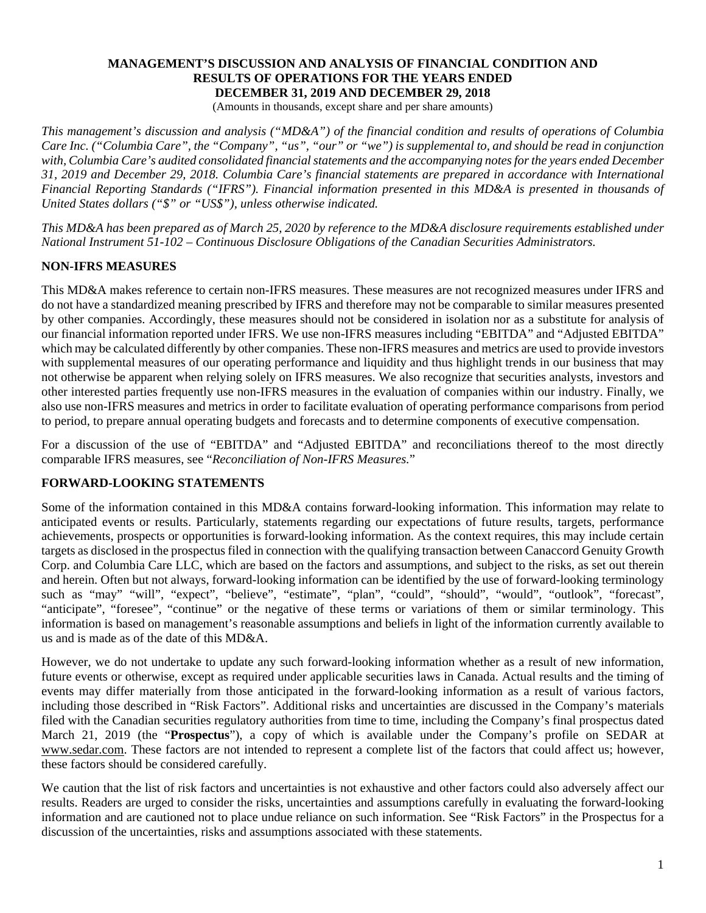#### **MANAGEMENT'S DISCUSSION AND ANALYSIS OF FINANCIAL CONDITION AND RESULTS OF OPERATIONS FOR THE YEARS ENDED DECEMBER 31, 2019 AND DECEMBER 29, 2018**

(Amounts in thousands, except share and per share amounts)

*This management's discussion and analysis ("MD&A") of the financial condition and results of operations of Columbia Care Inc. ("Columbia Care", the "Company", "us", "our" or "we") is supplemental to, and should be read in conjunction with, Columbia Care's audited consolidated financial statements and the accompanying notes for the years ended December 31, 2019 and December 29, 2018. Columbia Care's financial statements are prepared in accordance with International Financial Reporting Standards ("IFRS"). Financial information presented in this MD&A is presented in thousands of United States dollars ("\$" or "US\$"), unless otherwise indicated.*

*This MD&A has been prepared as of March 25, 2020 by reference to the MD&A disclosure requirements established under National Instrument 51-102 – Continuous Disclosure Obligations of the Canadian Securities Administrators.*

# **NON-IFRS MEASURES**

This MD&A makes reference to certain non-IFRS measures. These measures are not recognized measures under IFRS and do not have a standardized meaning prescribed by IFRS and therefore may not be comparable to similar measures presented by other companies. Accordingly, these measures should not be considered in isolation nor as a substitute for analysis of our financial information reported under IFRS. We use non-IFRS measures including "EBITDA" and "Adjusted EBITDA" which may be calculated differently by other companies. These non-IFRS measures and metrics are used to provide investors with supplemental measures of our operating performance and liquidity and thus highlight trends in our business that may not otherwise be apparent when relying solely on IFRS measures. We also recognize that securities analysts, investors and other interested parties frequently use non-IFRS measures in the evaluation of companies within our industry. Finally, we also use non-IFRS measures and metrics in order to facilitate evaluation of operating performance comparisons from period to period, to prepare annual operating budgets and forecasts and to determine components of executive compensation.

For a discussion of the use of "EBITDA" and "Adjusted EBITDA" and reconciliations thereof to the most directly comparable IFRS measures, see "*Reconciliation of Non-IFRS Measures.*"

### **FORWARD-LOOKING STATEMENTS**

Some of the information contained in this MD&A contains forward-looking information. This information may relate to anticipated events or results. Particularly, statements regarding our expectations of future results, targets, performance achievements, prospects or opportunities is forward-looking information. As the context requires, this may include certain targets as disclosed in the prospectus filed in connection with the qualifying transaction between Canaccord Genuity Growth Corp. and Columbia Care LLC, which are based on the factors and assumptions, and subject to the risks, as set out therein and herein. Often but not always, forward-looking information can be identified by the use of forward-looking terminology such as "may" "will", "expect", "believe", "estimate", "plan", "could", "should", "would", "outlook", "forecast", "anticipate", "foresee", "continue" or the negative of these terms or variations of them or similar terminology. This information is based on management's reasonable assumptions and beliefs in light of the information currently available to us and is made as of the date of this MD&A.

However, we do not undertake to update any such forward-looking information whether as a result of new information, future events or otherwise, except as required under applicable securities laws in Canada. Actual results and the timing of events may differ materially from those anticipated in the forward-looking information as a result of various factors, including those described in "Risk Factors". Additional risks and uncertainties are discussed in the Company's materials filed with the Canadian securities regulatory authorities from time to time, including the Company's final prospectus dated March 21, 2019 (the "**Prospectus**"), a copy of which is available under the Company's profile on SEDAR at www.sedar.com. These factors are not intended to represent a complete list of the factors that could affect us; however, these factors should be considered carefully.

We caution that the list of risk factors and uncertainties is not exhaustive and other factors could also adversely affect our results. Readers are urged to consider the risks, uncertainties and assumptions carefully in evaluating the forward-looking information and are cautioned not to place undue reliance on such information. See "Risk Factors" in the Prospectus for a discussion of the uncertainties, risks and assumptions associated with these statements.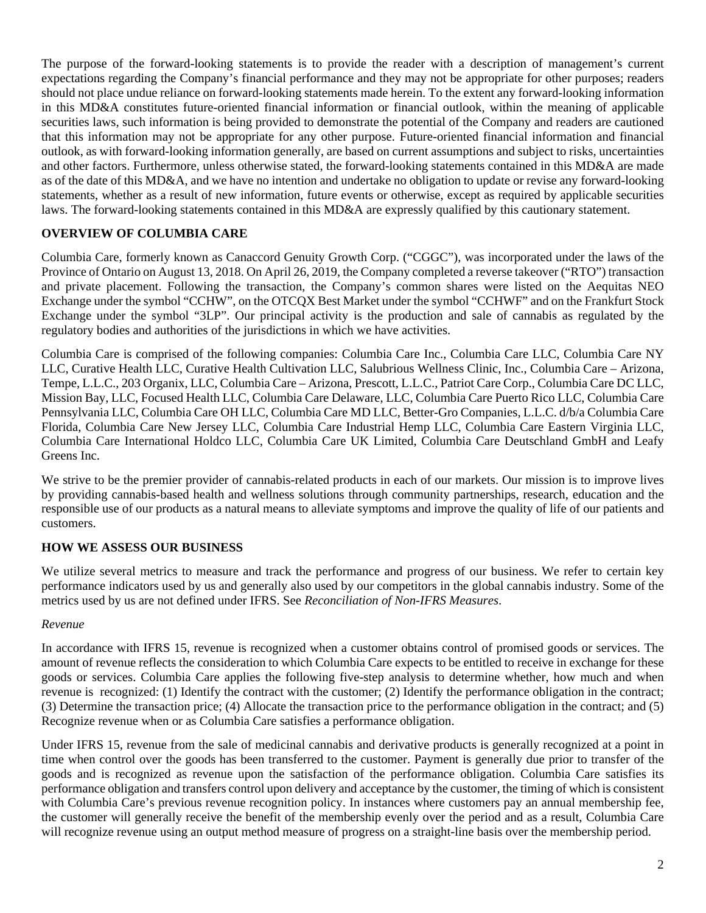The purpose of the forward-looking statements is to provide the reader with a description of management's current expectations regarding the Company's financial performance and they may not be appropriate for other purposes; readers should not place undue reliance on forward-looking statements made herein. To the extent any forward-looking information in this MD&A constitutes future-oriented financial information or financial outlook, within the meaning of applicable securities laws, such information is being provided to demonstrate the potential of the Company and readers are cautioned that this information may not be appropriate for any other purpose. Future-oriented financial information and financial outlook, as with forward-looking information generally, are based on current assumptions and subject to risks, uncertainties and other factors. Furthermore, unless otherwise stated, the forward-looking statements contained in this MD&A are made as of the date of this MD&A, and we have no intention and undertake no obligation to update or revise any forward-looking statements, whether as a result of new information, future events or otherwise, except as required by applicable securities laws. The forward-looking statements contained in this MD&A are expressly qualified by this cautionary statement.

# **OVERVIEW OF COLUMBIA CARE**

Columbia Care, formerly known as Canaccord Genuity Growth Corp. ("CGGC"), was incorporated under the laws of the Province of Ontario on August 13, 2018. On April 26, 2019, the Company completed a reverse takeover ("RTO") transaction and private placement. Following the transaction, the Company's common shares were listed on the Aequitas NEO Exchange under the symbol "CCHW", on the OTCQX Best Market under the symbol "CCHWF" and on the Frankfurt Stock Exchange under the symbol "3LP". Our principal activity is the production and sale of cannabis as regulated by the regulatory bodies and authorities of the jurisdictions in which we have activities.

Columbia Care is comprised of the following companies: Columbia Care Inc., Columbia Care LLC, Columbia Care NY LLC, Curative Health LLC, Curative Health Cultivation LLC, Salubrious Wellness Clinic, Inc., Columbia Care – Arizona, Tempe, L.L.C., 203 Organix, LLC, Columbia Care – Arizona, Prescott, L.L.C., Patriot Care Corp., Columbia Care DC LLC, Mission Bay, LLC, Focused Health LLC, Columbia Care Delaware, LLC, Columbia Care Puerto Rico LLC, Columbia Care Pennsylvania LLC, Columbia Care OH LLC, Columbia Care MD LLC, Better-Gro Companies, L.L.C. d/b/a Columbia Care Florida, Columbia Care New Jersey LLC, Columbia Care Industrial Hemp LLC, Columbia Care Eastern Virginia LLC, Columbia Care International Holdco LLC, Columbia Care UK Limited, Columbia Care Deutschland GmbH and Leafy Greens Inc.

We strive to be the premier provider of cannabis-related products in each of our markets. Our mission is to improve lives by providing cannabis-based health and wellness solutions through community partnerships, research, education and the responsible use of our products as a natural means to alleviate symptoms and improve the quality of life of our patients and customers.

# **HOW WE ASSESS OUR BUSINESS**

We utilize several metrics to measure and track the performance and progress of our business. We refer to certain key performance indicators used by us and generally also used by our competitors in the global cannabis industry. Some of the metrics used by us are not defined under IFRS. See *Reconciliation of Non-IFRS Measures*.

### *Revenue*

In accordance with IFRS 15, revenue is recognized when a customer obtains control of promised goods or services. The amount of revenue reflects the consideration to which Columbia Care expects to be entitled to receive in exchange for these goods or services. Columbia Care applies the following five-step analysis to determine whether, how much and when revenue is recognized: (1) Identify the contract with the customer; (2) Identify the performance obligation in the contract; (3) Determine the transaction price; (4) Allocate the transaction price to the performance obligation in the contract; and (5) Recognize revenue when or as Columbia Care satisfies a performance obligation.

Under IFRS 15, revenue from the sale of medicinal cannabis and derivative products is generally recognized at a point in time when control over the goods has been transferred to the customer. Payment is generally due prior to transfer of the goods and is recognized as revenue upon the satisfaction of the performance obligation. Columbia Care satisfies its performance obligation and transfers control upon delivery and acceptance by the customer, the timing of which is consistent with Columbia Care's previous revenue recognition policy. In instances where customers pay an annual membership fee, the customer will generally receive the benefit of the membership evenly over the period and as a result, Columbia Care will recognize revenue using an output method measure of progress on a straight-line basis over the membership period.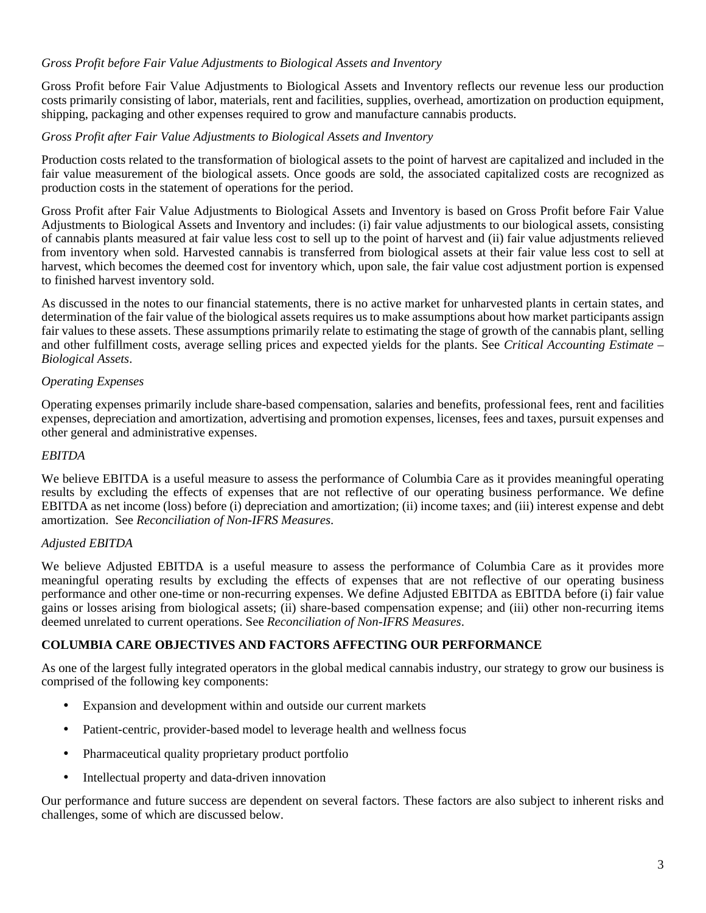# *Gross Profit before Fair Value Adjustments to Biological Assets and Inventory*

Gross Profit before Fair Value Adjustments to Biological Assets and Inventory reflects our revenue less our production costs primarily consisting of labor, materials, rent and facilities, supplies, overhead, amortization on production equipment, shipping, packaging and other expenses required to grow and manufacture cannabis products.

### *Gross Profit after Fair Value Adjustments to Biological Assets and Inventory*

Production costs related to the transformation of biological assets to the point of harvest are capitalized and included in the fair value measurement of the biological assets. Once goods are sold, the associated capitalized costs are recognized as production costs in the statement of operations for the period.

Gross Profit after Fair Value Adjustments to Biological Assets and Inventory is based on Gross Profit before Fair Value Adjustments to Biological Assets and Inventory and includes: (i) fair value adjustments to our biological assets, consisting of cannabis plants measured at fair value less cost to sell up to the point of harvest and (ii) fair value adjustments relieved from inventory when sold. Harvested cannabis is transferred from biological assets at their fair value less cost to sell at harvest, which becomes the deemed cost for inventory which, upon sale, the fair value cost adjustment portion is expensed to finished harvest inventory sold.

As discussed in the notes to our financial statements, there is no active market for unharvested plants in certain states, and determination of the fair value of the biological assets requires us to make assumptions about how market participants assign fair values to these assets. These assumptions primarily relate to estimating the stage of growth of the cannabis plant, selling and other fulfillment costs, average selling prices and expected yields for the plants. See *Critical Accounting Estimate – Biological Assets*.

# *Operating Expenses*

Operating expenses primarily include share-based compensation, salaries and benefits, professional fees, rent and facilities expenses, depreciation and amortization, advertising and promotion expenses, licenses, fees and taxes, pursuit expenses and other general and administrative expenses.

#### *EBITDA*

We believe EBITDA is a useful measure to assess the performance of Columbia Care as it provides meaningful operating results by excluding the effects of expenses that are not reflective of our operating business performance. We define EBITDA as net income (loss) before (i) depreciation and amortization; (ii) income taxes; and (iii) interest expense and debt amortization. See *Reconciliation of Non-IFRS Measures*.

### *Adjusted EBITDA*

We believe Adjusted EBITDA is a useful measure to assess the performance of Columbia Care as it provides more meaningful operating results by excluding the effects of expenses that are not reflective of our operating business performance and other one-time or non-recurring expenses. We define Adjusted EBITDA as EBITDA before (i) fair value gains or losses arising from biological assets; (ii) share-based compensation expense; and (iii) other non-recurring items deemed unrelated to current operations. See *Reconciliation of Non-IFRS Measures*.

# **COLUMBIA CARE OBJECTIVES AND FACTORS AFFECTING OUR PERFORMANCE**

As one of the largest fully integrated operators in the global medical cannabis industry, our strategy to grow our business is comprised of the following key components:

- Expansion and development within and outside our current markets
- Patient-centric, provider-based model to leverage health and wellness focus
- Pharmaceutical quality proprietary product portfolio
- Intellectual property and data-driven innovation

Our performance and future success are dependent on several factors. These factors are also subject to inherent risks and challenges, some of which are discussed below.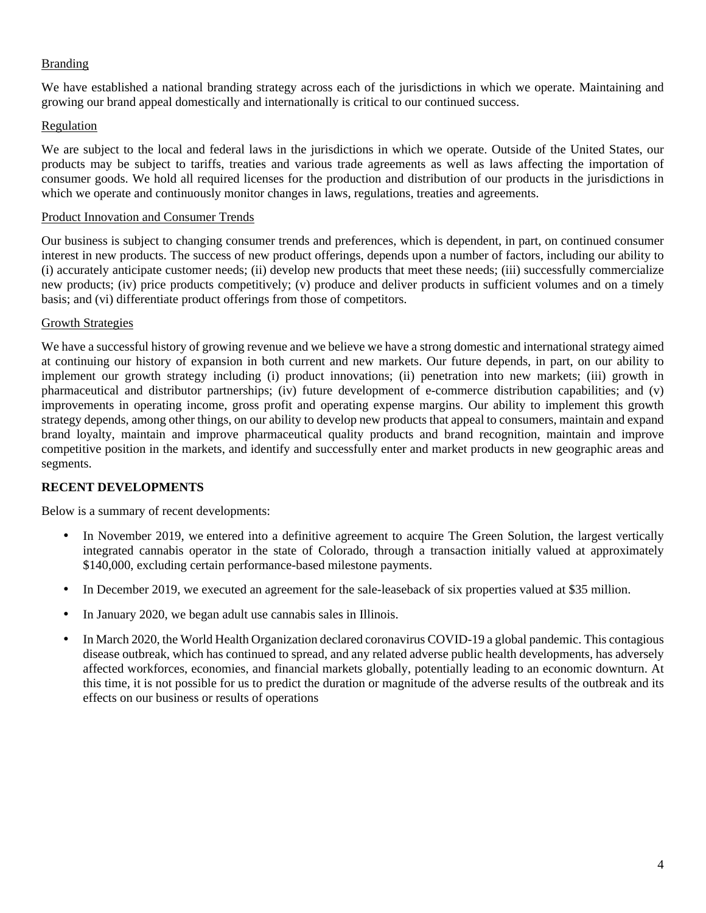# Branding

We have established a national branding strategy across each of the jurisdictions in which we operate. Maintaining and growing our brand appeal domestically and internationally is critical to our continued success.

### Regulation

We are subject to the local and federal laws in the jurisdictions in which we operate. Outside of the United States, our products may be subject to tariffs, treaties and various trade agreements as well as laws affecting the importation of consumer goods. We hold all required licenses for the production and distribution of our products in the jurisdictions in which we operate and continuously monitor changes in laws, regulations, treaties and agreements.

#### Product Innovation and Consumer Trends

Our business is subject to changing consumer trends and preferences, which is dependent, in part, on continued consumer interest in new products. The success of new product offerings, depends upon a number of factors, including our ability to (i) accurately anticipate customer needs; (ii) develop new products that meet these needs; (iii) successfully commercialize new products; (iv) price products competitively; (v) produce and deliver products in sufficient volumes and on a timely basis; and (vi) differentiate product offerings from those of competitors.

### Growth Strategies

We have a successful history of growing revenue and we believe we have a strong domestic and international strategy aimed at continuing our history of expansion in both current and new markets. Our future depends, in part, on our ability to implement our growth strategy including (i) product innovations; (ii) penetration into new markets; (iii) growth in pharmaceutical and distributor partnerships; (iv) future development of e-commerce distribution capabilities; and (v) improvements in operating income, gross profit and operating expense margins. Our ability to implement this growth strategy depends, among other things, on our ability to develop new products that appeal to consumers, maintain and expand brand loyalty, maintain and improve pharmaceutical quality products and brand recognition, maintain and improve competitive position in the markets, and identify and successfully enter and market products in new geographic areas and segments.

### **RECENT DEVELOPMENTS**

Below is a summary of recent developments:

- In November 2019, we entered into a definitive agreement to acquire The Green Solution, the largest vertically integrated cannabis operator in the state of Colorado, through a transaction initially valued at approximately \$140,000, excluding certain performance-based milestone payments.
- In December 2019, we executed an agreement for the sale-leaseback of six properties valued at \$35 million.
- In January 2020, we began adult use cannabis sales in Illinois.
- In March 2020, the World Health Organization declared coronavirus COVID-19 a global pandemic. This contagious disease outbreak, which has continued to spread, and any related adverse public health developments, has adversely affected workforces, economies, and financial markets globally, potentially leading to an economic downturn. At this time, it is not possible for us to predict the duration or magnitude of the adverse results of the outbreak and its effects on our business or results of operations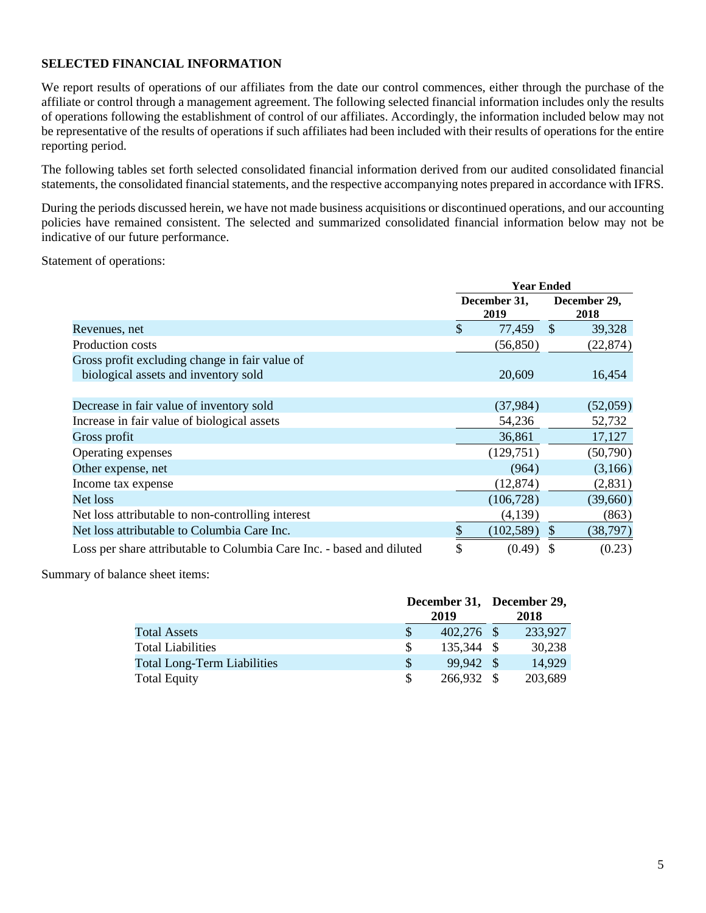# **SELECTED FINANCIAL INFORMATION**

We report results of operations of our affiliates from the date our control commences, either through the purchase of the affiliate or control through a management agreement. The following selected financial information includes only the results of operations following the establishment of control of our affiliates. Accordingly, the information included below may not be representative of the results of operations if such affiliates had been included with their results of operations for the entire reporting period.

The following tables set forth selected consolidated financial information derived from our audited consolidated financial statements, the consolidated financial statements, and the respective accompanying notes prepared in accordance with IFRS.

During the periods discussed herein, we have not made business acquisitions or discontinued operations, and our accounting policies have remained consistent. The selected and summarized consolidated financial information below may not be indicative of our future performance.

Statement of operations:

|                                                                                        | <b>Year Ended</b> |                      |               |                      |  |
|----------------------------------------------------------------------------------------|-------------------|----------------------|---------------|----------------------|--|
|                                                                                        |                   | December 31,<br>2019 |               | December 29,<br>2018 |  |
| Revenues, net                                                                          | $\mathcal{S}$     | 77,459               | $\mathcal{S}$ | 39,328               |  |
| Production costs                                                                       |                   | (56, 850)            |               | (22, 874)            |  |
| Gross profit excluding change in fair value of<br>biological assets and inventory sold |                   | 20,609               |               | 16,454               |  |
| Decrease in fair value of inventory sold                                               |                   | (37, 984)            |               | (52,059)             |  |
| Increase in fair value of biological assets                                            |                   | 54,236               |               | 52,732               |  |
| Gross profit                                                                           |                   | 36,861               |               | 17,127               |  |
| Operating expenses                                                                     |                   | (129,751)            |               | (50,790)             |  |
| Other expense, net                                                                     |                   | (964)                |               | (3,166)              |  |
| Income tax expense                                                                     |                   | (12, 874)            |               | (2,831)              |  |
| Net loss                                                                               |                   | (106, 728)           |               | (39,660)             |  |
| Net loss attributable to non-controlling interest                                      |                   | (4,139)              |               | (863)                |  |
| Net loss attributable to Columbia Care Inc.                                            | \$                | (102, 589)           | <sup>\$</sup> | (38, 797)            |  |
| Loss per share attributable to Columbia Care Inc. - based and diluted                  |                   | (0.49)               |               | (0.23)               |  |

Summary of balance sheet items:

|                                    | December 31, December 29, |              |  |         |
|------------------------------------|---------------------------|--------------|--|---------|
|                                    |                           | 2019         |  | 2018    |
| <b>Total Assets</b>                | S                         | $402,276$ \$ |  | 233,927 |
| <b>Total Liabilities</b>           |                           | 135,344 \$   |  | 30,238  |
| <b>Total Long-Term Liabilities</b> | \$.                       | 99.942 \$    |  | 14.929  |
| <b>Total Equity</b>                |                           | 266,932 \$   |  | 203,689 |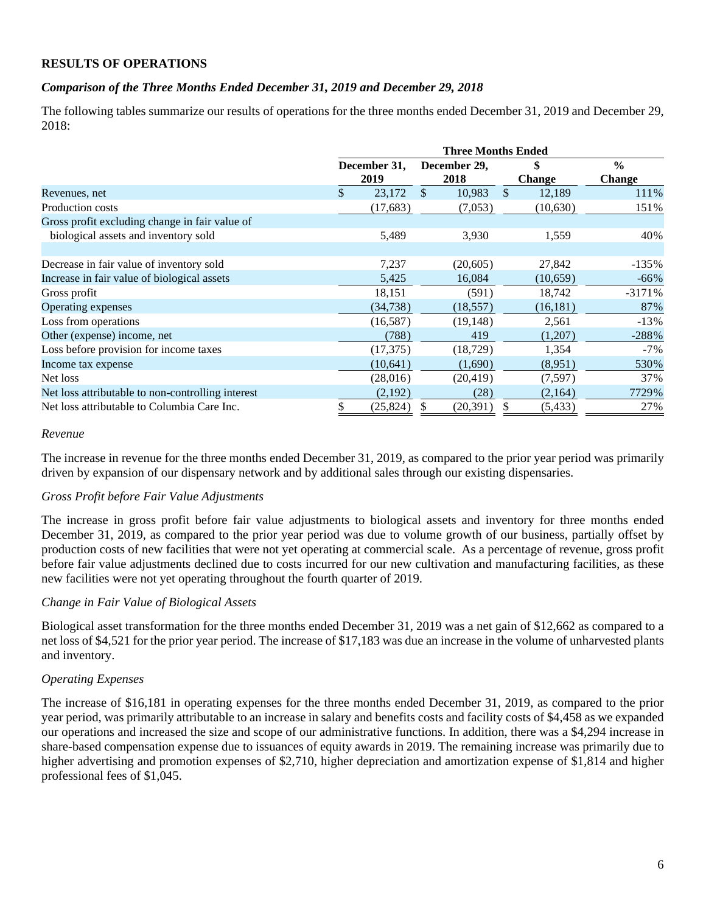### **RESULTS OF OPERATIONS**

## *Comparison of the Three Months Ended December 31, 2019 and December 29, 2018*

The following tables summarize our results of operations for the three months ended December 31, 2019 and December 29,  $2018$ 

|                                                   | <b>Three Months Ended</b> |              |               |              |              |               |               |  |
|---------------------------------------------------|---------------------------|--------------|---------------|--------------|--------------|---------------|---------------|--|
|                                                   |                           | December 31, |               | December 29, | \$           |               | $\frac{0}{0}$ |  |
|                                                   |                           | 2019         |               | 2018         |              | <b>Change</b> | <b>Change</b> |  |
| Revenues, net                                     | $\mathbb{S}$              | 23,172       | <sup>\$</sup> | 10,983       | $\mathbb{S}$ | 12,189        | 111%          |  |
| Production costs                                  |                           | (17,683)     |               | (7,053)      |              | (10,630)      | 151%          |  |
| Gross profit excluding change in fair value of    |                           |              |               |              |              |               |               |  |
| biological assets and inventory sold              |                           | 5,489        |               | 3,930        |              | 1,559         | 40%           |  |
|                                                   |                           |              |               |              |              |               |               |  |
| Decrease in fair value of inventory sold          |                           | 7,237        |               | (20, 605)    |              | 27,842        | $-135%$       |  |
| Increase in fair value of biological assets       |                           | 5,425        |               | 16,084       |              | (10,659)      | $-66\%$       |  |
| Gross profit                                      |                           | 18,151       |               | (591)        |              | 18,742        | $-3171%$      |  |
| Operating expenses                                |                           | (34, 738)    |               | (18, 557)    |              | (16, 181)     | 87%           |  |
| Loss from operations                              |                           | (16, 587)    |               | (19, 148)    |              | 2,561         | $-13%$        |  |
| Other (expense) income, net                       |                           | (788)        |               | 419          |              | (1,207)       | $-288%$       |  |
| Loss before provision for income taxes            |                           | (17, 375)    |               | (18, 729)    |              | 1,354         | $-7\%$        |  |
| Income tax expense                                |                           | (10, 641)    |               | (1,690)      |              | (8,951)       | 530%          |  |
| Net loss                                          |                           | (28,016)     |               | (20, 419)    |              | (7,597)       | 37%           |  |
| Net loss attributable to non-controlling interest |                           | (2,192)      |               | (28)         |              | (2,164)       | 7729%         |  |
| Net loss attributable to Columbia Care Inc.       |                           | (25,824)     |               | (20,391)     |              | (5, 433)      | 27%           |  |

#### *Revenue*

The increase in revenue for the three months ended December 31, 2019, as compared to the prior year period was primarily driven by expansion of our dispensary network and by additional sales through our existing dispensaries.

### *Gross Profit before Fair Value Adjustments*

The increase in gross profit before fair value adjustments to biological assets and inventory for three months ended December 31, 2019, as compared to the prior year period was due to volume growth of our business, partially offset by production costs of new facilities that were not yet operating at commercial scale. As a percentage of revenue, gross profit before fair value adjustments declined due to costs incurred for our new cultivation and manufacturing facilities, as these new facilities were not yet operating throughout the fourth quarter of 2019.

### *Change in Fair Value of Biological Assets*

Biological asset transformation for the three months ended December 31, 2019 was a net gain of \$12,662 as compared to a net loss of \$4,521 for the prior year period. The increase of \$17,183 was due an increase in the volume of unharvested plants and inventory.

### *Operating Expenses*

The increase of \$16,181 in operating expenses for the three months ended December 31, 2019, as compared to the prior year period, was primarily attributable to an increase in salary and benefits costs and facility costs of \$4,458 as we expanded our operations and increased the size and scope of our administrative functions. In addition, there was a \$4,294 increase in share-based compensation expense due to issuances of equity awards in 2019. The remaining increase was primarily due to higher advertising and promotion expenses of \$2,710, higher depreciation and amortization expense of \$1,814 and higher professional fees of \$1,045.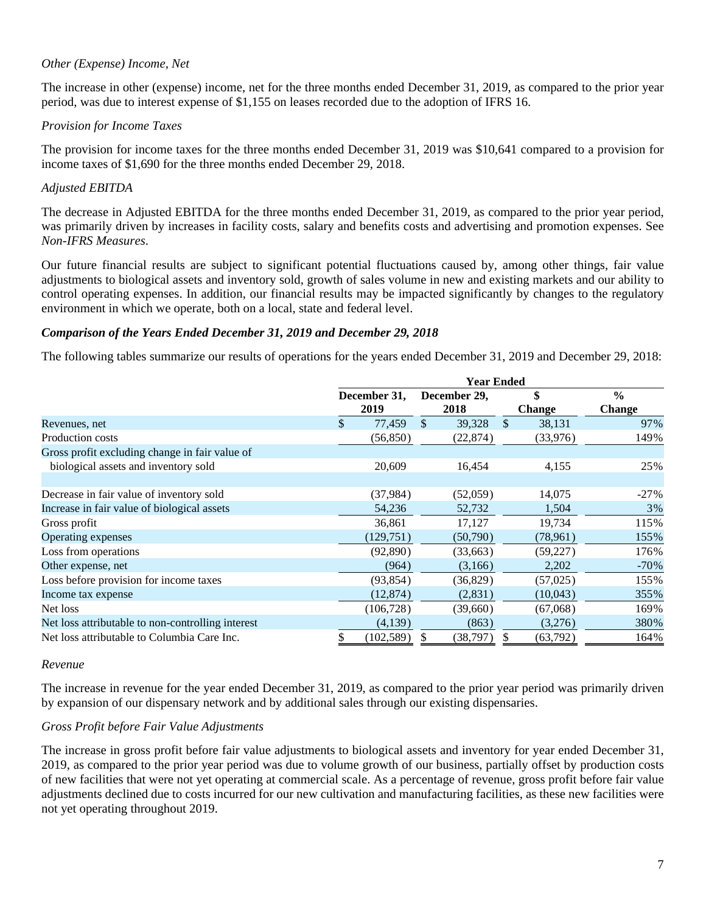## *Other (Expense) Income, Net*

The increase in other (expense) income, net for the three months ended December 31, 2019, as compared to the prior year period, was due to interest expense of \$1,155 on leases recorded due to the adoption of IFRS 16.

### *Provision for Income Taxes*

The provision for income taxes for the three months ended December 31, 2019 was \$10,641 compared to a provision for income taxes of \$1,690 for the three months ended December 29, 2018.

### *Adjusted EBITDA*

The decrease in Adjusted EBITDA for the three months ended December 31, 2019, as compared to the prior year period, was primarily driven by increases in facility costs, salary and benefits costs and advertising and promotion expenses. See *Non-IFRS Measures*.

Our future financial results are subject to significant potential fluctuations caused by, among other things, fair value adjustments to biological assets and inventory sold, growth of sales volume in new and existing markets and our ability to control operating expenses. In addition, our financial results may be impacted significantly by changes to the regulatory environment in which we operate, both on a local, state and federal level.

### *Comparison of the Years Ended December 31, 2019 and December 29, 2018*

The following tables summarize our results of operations for the years ended December 31, 2019 and December 29, 2018:

|                                                   |               | <b>Year Ended</b> |               |              |     |               |               |  |  |
|---------------------------------------------------|---------------|-------------------|---------------|--------------|-----|---------------|---------------|--|--|
|                                                   |               | December 31,      |               | December 29, | \$  |               | $\frac{0}{0}$ |  |  |
|                                                   |               | 2019              |               | 2018         |     | <b>Change</b> | <b>Change</b> |  |  |
| Revenues, net                                     | $\mathcal{S}$ | 77,459            | $\mathcal{S}$ | 39,328       | -\$ | 38,131        | 97%           |  |  |
| Production costs                                  |               | (56, 850)         |               | (22, 874)    |     | (33,976)      | 149%          |  |  |
| Gross profit excluding change in fair value of    |               |                   |               |              |     |               |               |  |  |
| biological assets and inventory sold              |               | 20,609            |               | 16,454       |     | 4,155         | 25%           |  |  |
|                                                   |               |                   |               |              |     |               |               |  |  |
| Decrease in fair value of inventory sold          |               | (37, 984)         |               | (52,059)     |     | 14,075        | $-27%$        |  |  |
| Increase in fair value of biological assets       |               | 54,236            |               | 52,732       |     | 1,504         | 3%            |  |  |
| Gross profit                                      |               | 36,861            |               | 17,127       |     | 19,734        | 115%          |  |  |
| Operating expenses                                |               | (129,751)         |               | (50, 790)    |     | (78, 961)     | 155%          |  |  |
| Loss from operations                              |               | (92, 890)         |               | (33,663)     |     | (59, 227)     | 176%          |  |  |
| Other expense, net                                |               | (964)             |               | (3,166)      |     | 2,202         | $-70\%$       |  |  |
| Loss before provision for income taxes            |               | (93, 854)         |               | (36, 829)    |     | (57,025)      | 155%          |  |  |
| Income tax expense                                |               | (12, 874)         |               | (2,831)      |     | (10,043)      | 355%          |  |  |
| Net loss                                          |               | (106, 728)        |               | (39,660)     |     | (67,068)      | 169%          |  |  |
| Net loss attributable to non-controlling interest |               | (4,139)           |               | (863)        |     | (3,276)       | 380%          |  |  |
| Net loss attributable to Columbia Care Inc.       | \$            | (102, 589)        | $\mathbb{S}$  | (38,797)     | \$  | (63, 792)     | 164%          |  |  |

#### *Revenue*

The increase in revenue for the year ended December 31, 2019, as compared to the prior year period was primarily driven by expansion of our dispensary network and by additional sales through our existing dispensaries.

### *Gross Profit before Fair Value Adjustments*

The increase in gross profit before fair value adjustments to biological assets and inventory for year ended December 31, 2019, as compared to the prior year period was due to volume growth of our business, partially offset by production costs of new facilities that were not yet operating at commercial scale. As a percentage of revenue, gross profit before fair value adjustments declined due to costs incurred for our new cultivation and manufacturing facilities, as these new facilities were not yet operating throughout 2019.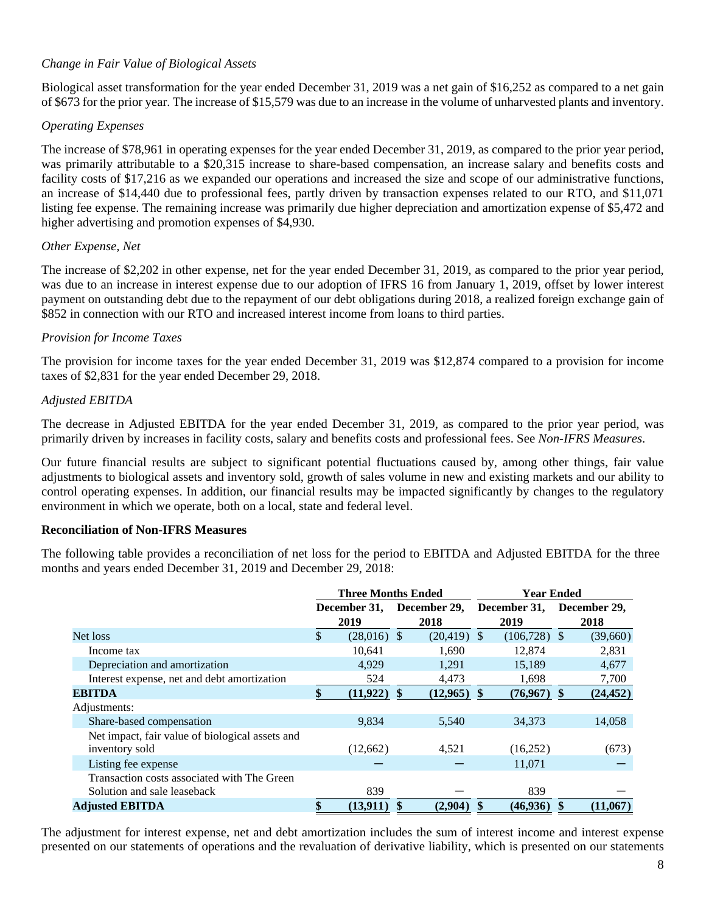# *Change in Fair Value of Biological Assets*

Biological asset transformation for the year ended December 31, 2019 was a net gain of \$16,252 as compared to a net gain of \$673 for the prior year. The increase of \$15,579 was due to an increase in the volume of unharvested plants and inventory.

### *Operating Expenses*

The increase of \$78,961 in operating expenses for the year ended December 31, 2019, as compared to the prior year period, was primarily attributable to a \$20,315 increase to share-based compensation, an increase salary and benefits costs and facility costs of \$17,216 as we expanded our operations and increased the size and scope of our administrative functions, an increase of \$14,440 due to professional fees, partly driven by transaction expenses related to our RTO, and \$11,071 listing fee expense. The remaining increase was primarily due higher depreciation and amortization expense of \$5,472 and higher advertising and promotion expenses of \$4,930.

## *Other Expense, Net*

The increase of \$2,202 in other expense, net for the year ended December 31, 2019, as compared to the prior year period, was due to an increase in interest expense due to our adoption of IFRS 16 from January 1, 2019, offset by lower interest payment on outstanding debt due to the repayment of our debt obligations during 2018, a realized foreign exchange gain of \$852 in connection with our RTO and increased interest income from loans to third parties.

## *Provision for Income Taxes*

The provision for income taxes for the year ended December 31, 2019 was \$12,874 compared to a provision for income taxes of \$2,831 for the year ended December 29, 2018.

## *Adjusted EBITDA*

The decrease in Adjusted EBITDA for the year ended December 31, 2019, as compared to the prior year period, was primarily driven by increases in facility costs, salary and benefits costs and professional fees. See *Non-IFRS Measures*.

Our future financial results are subject to significant potential fluctuations caused by, among other things, fair value adjustments to biological assets and inventory sold, growth of sales volume in new and existing markets and our ability to control operating expenses. In addition, our financial results may be impacted significantly by changes to the regulatory environment in which we operate, both on a local, state and federal level.

### **Reconciliation of Non-IFRS Measures**

The following table provides a reconciliation of net loss for the period to EBITDA and Adjusted EBITDA for the three months and years ended December 31, 2019 and December 29, 2018:

|                                                                            | <b>Three Months Ended</b> |                                   | <b>Year Ended</b> |                                   |  |           |  |
|----------------------------------------------------------------------------|---------------------------|-----------------------------------|-------------------|-----------------------------------|--|-----------|--|
|                                                                            | 2019                      | December 31, December 29,<br>2018 |                   | December 31, December 29,<br>2019 |  | 2018      |  |
| Net loss                                                                   | \$<br>$(28,016)$ \$       | $(20, 419)$ \$                    |                   | $(106,728)$ \$                    |  | (39,660)  |  |
| Income tax                                                                 | 10.641                    | 1,690                             |                   | 12,874                            |  | 2,831     |  |
| Depreciation and amortization                                              | 4.929                     | 1,291                             |                   | 15,189                            |  | 4,677     |  |
| Interest expense, net and debt amortization                                | 524                       | 4,473                             |                   | 1,698                             |  | 7,700     |  |
| <b>EBITDA</b>                                                              | $(11, 922)$ \$            | $(12,965)$ \$                     |                   | $(76,967)$ \$                     |  | (24, 452) |  |
| Adjustments:                                                               |                           |                                   |                   |                                   |  |           |  |
| Share-based compensation                                                   | 9,834                     | 5.540                             |                   | 34,373                            |  | 14,058    |  |
| Net impact, fair value of biological assets and<br>inventory sold          | (12,662)                  | 4,521                             |                   | (16,252)                          |  | (673)     |  |
| Listing fee expense                                                        |                           |                                   |                   | 11,071                            |  |           |  |
| Transaction costs associated with The Green<br>Solution and sale leaseback | 839                       |                                   |                   | 839                               |  |           |  |
| <b>Adjusted EBITDA</b>                                                     | (13,911)                  | (2,904)                           |                   | (46, 936)                         |  | (11,067)  |  |

The adjustment for interest expense, net and debt amortization includes the sum of interest income and interest expense presented on our statements of operations and the revaluation of derivative liability, which is presented on our statements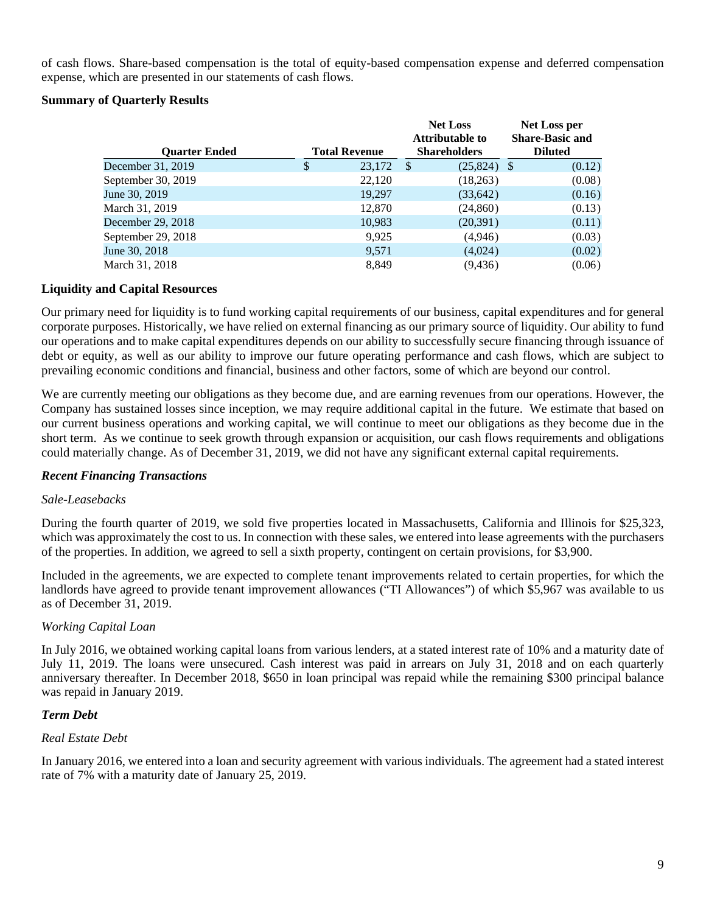of cash flows. Share-based compensation is the total of equity-based compensation expense and deferred compensation expense, which are presented in our statements of cash flows.

## **Summary of Quarterly Results**

|                      |                      | <b>Net Loss</b> |                        | Net Loss per           |
|----------------------|----------------------|-----------------|------------------------|------------------------|
|                      |                      |                 | <b>Attributable to</b> | <b>Share-Basic and</b> |
| <b>Ouarter Ended</b> | <b>Total Revenue</b> |                 | <b>Shareholders</b>    | <b>Diluted</b>         |
| December 31, 2019    | \$<br>23,172         | $\mathcal{S}$   | $(25,824)$ \$          | (0.12)                 |
| September 30, 2019   | 22,120               |                 | (18,263)               | (0.08)                 |
| June 30, 2019        | 19,297               |                 | (33, 642)              | (0.16)                 |
| March 31, 2019       | 12,870               |                 | (24, 860)              | (0.13)                 |
| December 29, 2018    | 10,983               |                 | (20,391)               | (0.11)                 |
| September 29, 2018   | 9,925                |                 | (4,946)                | (0.03)                 |
| June 30, 2018        | 9,571                |                 | (4,024)                | (0.02)                 |
| March 31, 2018       | 8.849                |                 | (9, 436)               | (0.06)                 |

## **Liquidity and Capital Resources**

Our primary need for liquidity is to fund working capital requirements of our business, capital expenditures and for general corporate purposes. Historically, we have relied on external financing as our primary source of liquidity. Our ability to fund our operations and to make capital expenditures depends on our ability to successfully secure financing through issuance of debt or equity, as well as our ability to improve our future operating performance and cash flows, which are subject to prevailing economic conditions and financial, business and other factors, some of which are beyond our control.

We are currently meeting our obligations as they become due, and are earning revenues from our operations. However, the Company has sustained losses since inception, we may require additional capital in the future. We estimate that based on our current business operations and working capital, we will continue to meet our obligations as they become due in the short term. As we continue to seek growth through expansion or acquisition, our cash flows requirements and obligations could materially change. As of December 31, 2019, we did not have any significant external capital requirements.

### *Recent Financing Transactions*

### *Sale-Leasebacks*

During the fourth quarter of 2019, we sold five properties located in Massachusetts, California and Illinois for \$25,323, which was approximately the cost to us. In connection with these sales, we entered into lease agreements with the purchasers of the properties. In addition, we agreed to sell a sixth property, contingent on certain provisions, for \$3,900.

Included in the agreements, we are expected to complete tenant improvements related to certain properties, for which the landlords have agreed to provide tenant improvement allowances ("TI Allowances") of which \$5,967 was available to us as of December 31, 2019.

### *Working Capital Loan*

In July 2016, we obtained working capital loans from various lenders, at a stated interest rate of 10% and a maturity date of July 11, 2019. The loans were unsecured. Cash interest was paid in arrears on July 31, 2018 and on each quarterly anniversary thereafter. In December 2018, \$650 in loan principal was repaid while the remaining \$300 principal balance was repaid in January 2019.

### *Term Debt*

### *Real Estate Debt*

In January 2016, we entered into a loan and security agreement with various individuals. The agreement had a stated interest rate of 7% with a maturity date of January 25, 2019.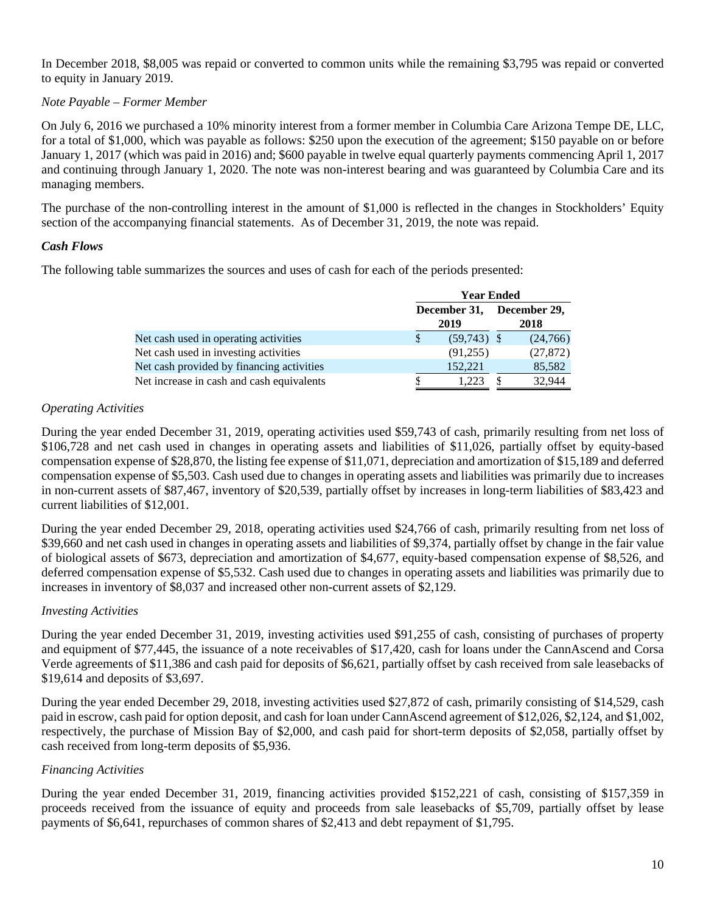In December 2018, \$8,005 was repaid or converted to common units while the remaining \$3,795 was repaid or converted to equity in January 2019.

## *Note Payable – Former Member*

On July 6, 2016 we purchased a 10% minority interest from a former member in Columbia Care Arizona Tempe DE, LLC, for a total of \$1,000, which was payable as follows: \$250 upon the execution of the agreement; \$150 payable on or before January 1, 2017 (which was paid in 2016) and; \$600 payable in twelve equal quarterly payments commencing April 1, 2017 and continuing through January 1, 2020. The note was non-interest bearing and was guaranteed by Columbia Care and its managing members.

The purchase of the non-controlling interest in the amount of \$1,000 is reflected in the changes in Stockholders' Equity section of the accompanying financial statements. As of December 31, 2019, the note was repaid.

## *Cash Flows*

The following table summarizes the sources and uses of cash for each of the periods presented:

|                                           | <b>Year Ended</b>    |                      |  |           |  |  |  |  |
|-------------------------------------------|----------------------|----------------------|--|-----------|--|--|--|--|
|                                           | December 31,<br>2019 | December 29,<br>2018 |  |           |  |  |  |  |
| Net cash used in operating activities     |                      | $(59,743)$ \$        |  | (24,766)  |  |  |  |  |
| Net cash used in investing activities     |                      | (91,255)             |  | (27, 872) |  |  |  |  |
| Net cash provided by financing activities |                      | 152,221              |  | 85,582    |  |  |  |  |
| Net increase in cash and cash equivalents |                      | 1.223                |  | 32,944    |  |  |  |  |

## *Operating Activities*

During the year ended December 31, 2019, operating activities used \$59,743 of cash, primarily resulting from net loss of \$106,728 and net cash used in changes in operating assets and liabilities of \$11,026, partially offset by equity-based compensation expense of \$28,870, the listing fee expense of \$11,071, depreciation and amortization of \$15,189 and deferred compensation expense of \$5,503. Cash used due to changes in operating assets and liabilities was primarily due to increases in non-current assets of \$87,467, inventory of \$20,539, partially offset by increases in long-term liabilities of \$83,423 and current liabilities of \$12,001.

During the year ended December 29, 2018, operating activities used \$24,766 of cash, primarily resulting from net loss of \$39,660 and net cash used in changes in operating assets and liabilities of \$9,374, partially offset by change in the fair value of biological assets of \$673, depreciation and amortization of \$4,677, equity-based compensation expense of \$8,526, and deferred compensation expense of \$5,532. Cash used due to changes in operating assets and liabilities was primarily due to increases in inventory of \$8,037 and increased other non-current assets of \$2,129.

### *Investing Activities*

During the year ended December 31, 2019, investing activities used \$91,255 of cash, consisting of purchases of property and equipment of \$77,445, the issuance of a note receivables of \$17,420, cash for loans under the CannAscend and Corsa Verde agreements of \$11,386 and cash paid for deposits of \$6,621, partially offset by cash received from sale leasebacks of \$19,614 and deposits of \$3,697.

During the year ended December 29, 2018, investing activities used \$27,872 of cash, primarily consisting of \$14,529, cash paid in escrow, cash paid for option deposit, and cash for loan under CannAscend agreement of \$12,026, \$2,124, and \$1,002, respectively, the purchase of Mission Bay of \$2,000, and cash paid for short-term deposits of \$2,058, partially offset by cash received from long-term deposits of \$5,936.

### *Financing Activities*

During the year ended December 31, 2019, financing activities provided \$152,221 of cash, consisting of \$157,359 in proceeds received from the issuance of equity and proceeds from sale leasebacks of \$5,709, partially offset by lease payments of \$6,641, repurchases of common shares of \$2,413 and debt repayment of \$1,795.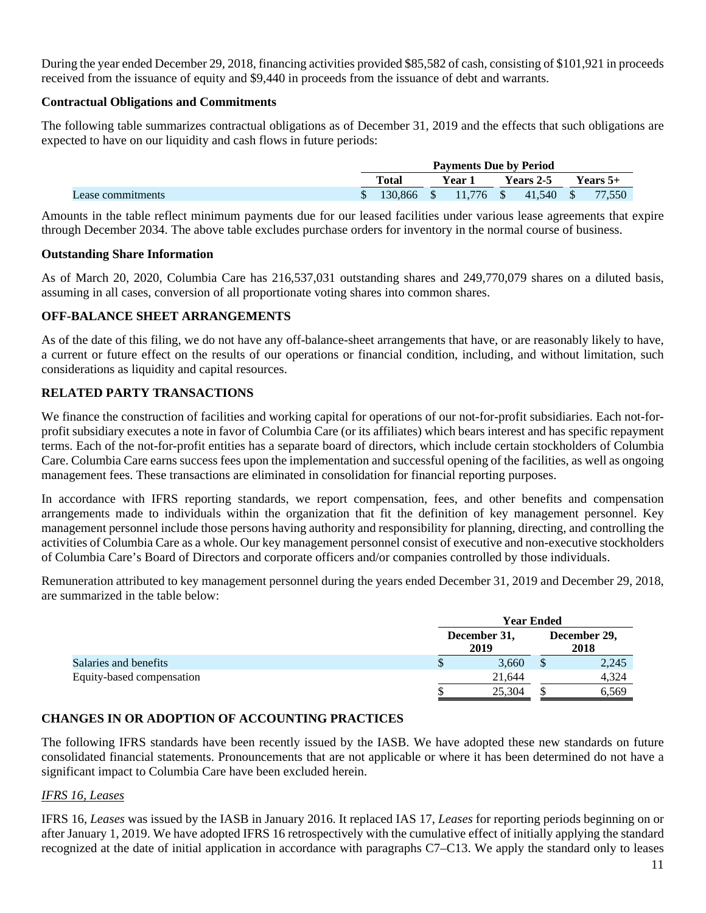During the year ended December 29, 2018, financing activities provided \$85,582 of cash, consisting of \$101,921 in proceeds received from the issuance of equity and \$9,440 in proceeds from the issuance of debt and warrants.

### **Contractual Obligations and Commitments**

The following table summarizes contractual obligations as of December 31, 2019 and the effects that such obligations are expected to have on our liquidity and cash flows in future periods:

|                   | <b>Payments Due by Period</b> |                                                        |  |        |                  |  |            |  |  |
|-------------------|-------------------------------|--------------------------------------------------------|--|--------|------------------|--|------------|--|--|
|                   |                               | Total                                                  |  | Year 1 | <b>Years 2-5</b> |  | Years $5+$ |  |  |
| Lease commitments |                               | $\frac{1}{2}$ \$ 130,866 \$ 11,776 \$ 41,540 \$ 77,550 |  |        |                  |  |            |  |  |

Amounts in the table reflect minimum payments due for our leased facilities under various lease agreements that expire through December 2034. The above table excludes purchase orders for inventory in the normal course of business.

### **Outstanding Share Information**

As of March 20, 2020, Columbia Care has 216,537,031 outstanding shares and 249,770,079 shares on a diluted basis, assuming in all cases, conversion of all proportionate voting shares into common shares.

## **OFF-BALANCE SHEET ARRANGEMENTS**

As of the date of this filing, we do not have any off-balance-sheet arrangements that have, or are reasonably likely to have, a current or future effect on the results of our operations or financial condition, including, and without limitation, such considerations as liquidity and capital resources.

# **RELATED PARTY TRANSACTIONS**

We finance the construction of facilities and working capital for operations of our not-for-profit subsidiaries. Each not-forprofit subsidiary executes a note in favor of Columbia Care (or its affiliates) which bears interest and has specific repayment terms. Each of the not-for-profit entities has a separate board of directors, which include certain stockholders of Columbia Care. Columbia Care earns success fees upon the implementation and successful opening of the facilities, as well as ongoing management fees. These transactions are eliminated in consolidation for financial reporting purposes.

In accordance with IFRS reporting standards, we report compensation, fees, and other benefits and compensation arrangements made to individuals within the organization that fit the definition of key management personnel. Key management personnel include those persons having authority and responsibility for planning, directing, and controlling the activities of Columbia Care as a whole. Our key management personnel consist of executive and non-executive stockholders of Columbia Care's Board of Directors and corporate officers and/or companies controlled by those individuals.

Remuneration attributed to key management personnel during the years ended December 31, 2019 and December 29, 2018, are summarized in the table below:

|                           | <b>Year Ended</b>    |       |  |                      |  |  |  |
|---------------------------|----------------------|-------|--|----------------------|--|--|--|
|                           | December 31,<br>2019 |       |  | December 29,<br>2018 |  |  |  |
| Salaries and benefits     |                      | 3,660 |  | 2,245                |  |  |  |
| Equity-based compensation | 21.644               |       |  | 4,324                |  |  |  |
|                           | 25,304               |       |  | 6,569                |  |  |  |

# **CHANGES IN OR ADOPTION OF ACCOUNTING PRACTICES**

The following IFRS standards have been recently issued by the IASB. We have adopted these new standards on future consolidated financial statements. Pronouncements that are not applicable or where it has been determined do not have a significant impact to Columbia Care have been excluded herein.

# *IFRS 16, Leases*

IFRS 16, *Leases* was issued by the IASB in January 2016. It replaced IAS 17, *Leases* for reporting periods beginning on or after January 1, 2019. We have adopted IFRS 16 retrospectively with the cumulative effect of initially applying the standard recognized at the date of initial application in accordance with paragraphs C7–C13. We apply the standard only to leases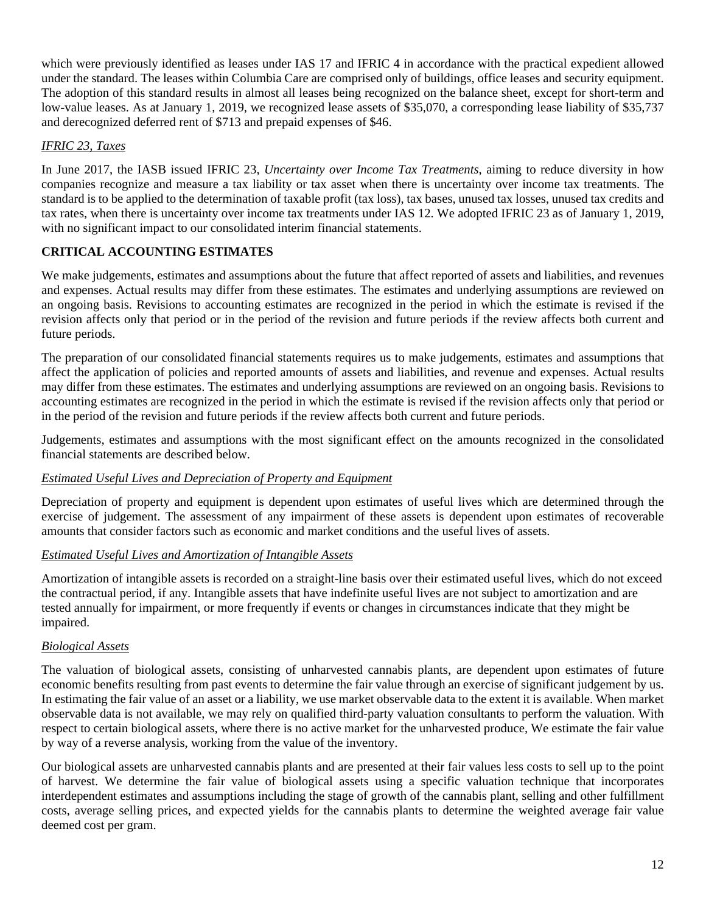which were previously identified as leases under IAS 17 and IFRIC 4 in accordance with the practical expedient allowed under the standard. The leases within Columbia Care are comprised only of buildings, office leases and security equipment. The adoption of this standard results in almost all leases being recognized on the balance sheet, except for short-term and low-value leases. As at January 1, 2019, we recognized lease assets of \$35,070, a corresponding lease liability of \$35,737 and derecognized deferred rent of \$713 and prepaid expenses of \$46.

# *IFRIC 23, Taxes*

In June 2017, the IASB issued IFRIC 23, *Uncertainty over Income Tax Treatments*, aiming to reduce diversity in how companies recognize and measure a tax liability or tax asset when there is uncertainty over income tax treatments. The standard is to be applied to the determination of taxable profit (tax loss), tax bases, unused tax losses, unused tax credits and tax rates, when there is uncertainty over income tax treatments under IAS 12. We adopted IFRIC 23 as of January 1, 2019, with no significant impact to our consolidated interim financial statements.

# **CRITICAL ACCOUNTING ESTIMATES**

We make judgements, estimates and assumptions about the future that affect reported of assets and liabilities, and revenues and expenses. Actual results may differ from these estimates. The estimates and underlying assumptions are reviewed on an ongoing basis. Revisions to accounting estimates are recognized in the period in which the estimate is revised if the revision affects only that period or in the period of the revision and future periods if the review affects both current and future periods.

The preparation of our consolidated financial statements requires us to make judgements, estimates and assumptions that affect the application of policies and reported amounts of assets and liabilities, and revenue and expenses. Actual results may differ from these estimates. The estimates and underlying assumptions are reviewed on an ongoing basis. Revisions to accounting estimates are recognized in the period in which the estimate is revised if the revision affects only that period or in the period of the revision and future periods if the review affects both current and future periods.

Judgements, estimates and assumptions with the most significant effect on the amounts recognized in the consolidated financial statements are described below.

# *Estimated Useful Lives and Depreciation of Property and Equipment*

Depreciation of property and equipment is dependent upon estimates of useful lives which are determined through the exercise of judgement. The assessment of any impairment of these assets is dependent upon estimates of recoverable amounts that consider factors such as economic and market conditions and the useful lives of assets.

# *Estimated Useful Lives and Amortization of Intangible Assets*

Amortization of intangible assets is recorded on a straight-line basis over their estimated useful lives, which do not exceed the contractual period, if any. Intangible assets that have indefinite useful lives are not subject to amortization and are tested annually for impairment, or more frequently if events or changes in circumstances indicate that they might be impaired.

# *Biological Assets*

The valuation of biological assets, consisting of unharvested cannabis plants, are dependent upon estimates of future economic benefits resulting from past events to determine the fair value through an exercise of significant judgement by us. In estimating the fair value of an asset or a liability, we use market observable data to the extent it is available. When market observable data is not available, we may rely on qualified third-party valuation consultants to perform the valuation. With respect to certain biological assets, where there is no active market for the unharvested produce, We estimate the fair value by way of a reverse analysis, working from the value of the inventory.

Our biological assets are unharvested cannabis plants and are presented at their fair values less costs to sell up to the point of harvest. We determine the fair value of biological assets using a specific valuation technique that incorporates interdependent estimates and assumptions including the stage of growth of the cannabis plant, selling and other fulfillment costs, average selling prices, and expected yields for the cannabis plants to determine the weighted average fair value deemed cost per gram.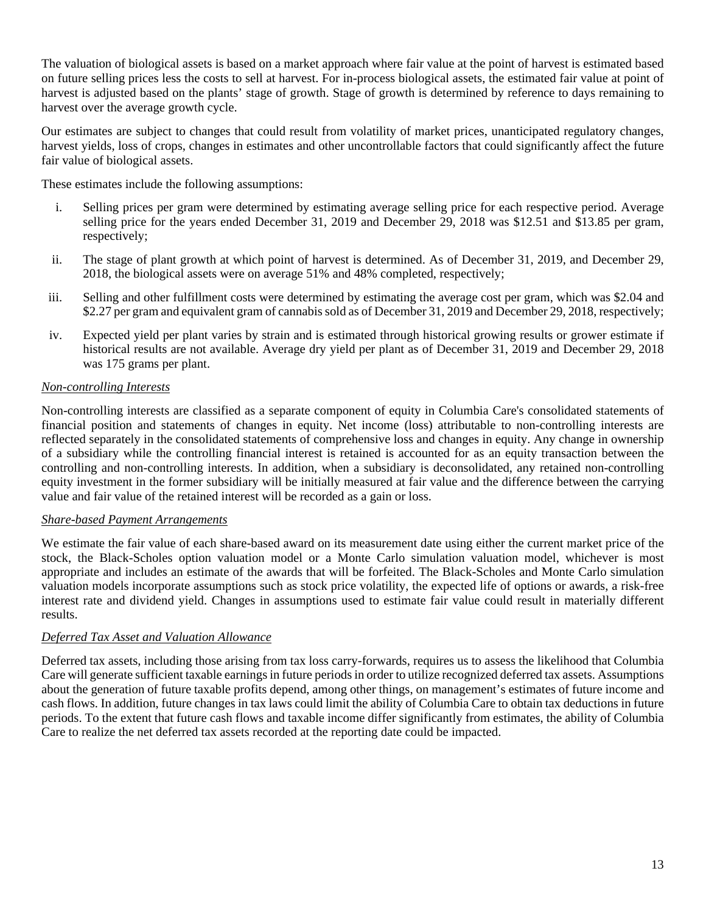The valuation of biological assets is based on a market approach where fair value at the point of harvest is estimated based on future selling prices less the costs to sell at harvest. For in-process biological assets, the estimated fair value at point of harvest is adjusted based on the plants' stage of growth. Stage of growth is determined by reference to days remaining to harvest over the average growth cycle.

Our estimates are subject to changes that could result from volatility of market prices, unanticipated regulatory changes, harvest yields, loss of crops, changes in estimates and other uncontrollable factors that could significantly affect the future fair value of biological assets.

These estimates include the following assumptions:

- i. Selling prices per gram were determined by estimating average selling price for each respective period. Average selling price for the years ended December 31, 2019 and December 29, 2018 was \$12.51 and \$13.85 per gram, respectively;
- ii. The stage of plant growth at which point of harvest is determined. As of December 31, 2019, and December 29, 2018, the biological assets were on average 51% and 48% completed, respectively;
- iii. Selling and other fulfillment costs were determined by estimating the average cost per gram, which was \$2.04 and \$2.27 per gram and equivalent gram of cannabis sold as of December 31, 2019 and December 29, 2018, respectively;
- iv. Expected yield per plant varies by strain and is estimated through historical growing results or grower estimate if historical results are not available. Average dry yield per plant as of December 31, 2019 and December 29, 2018 was 175 grams per plant.

# *Non-controlling Interests*

Non-controlling interests are classified as a separate component of equity in Columbia Care's consolidated statements of financial position and statements of changes in equity. Net income (loss) attributable to non-controlling interests are reflected separately in the consolidated statements of comprehensive loss and changes in equity. Any change in ownership of a subsidiary while the controlling financial interest is retained is accounted for as an equity transaction between the controlling and non-controlling interests. In addition, when a subsidiary is deconsolidated, any retained non-controlling equity investment in the former subsidiary will be initially measured at fair value and the difference between the carrying value and fair value of the retained interest will be recorded as a gain or loss.

### *Share-based Payment Arrangements*

We estimate the fair value of each share-based award on its measurement date using either the current market price of the stock, the Black-Scholes option valuation model or a Monte Carlo simulation valuation model, whichever is most appropriate and includes an estimate of the awards that will be forfeited. The Black-Scholes and Monte Carlo simulation valuation models incorporate assumptions such as stock price volatility, the expected life of options or awards, a risk-free interest rate and dividend yield. Changes in assumptions used to estimate fair value could result in materially different results.

# *Deferred Tax Asset and Valuation Allowance*

Deferred tax assets, including those arising from tax loss carry-forwards, requires us to assess the likelihood that Columbia Care will generate sufficient taxable earnings in future periods in order to utilize recognized deferred tax assets. Assumptions about the generation of future taxable profits depend, among other things, on management's estimates of future income and cash flows. In addition, future changes in tax laws could limit the ability of Columbia Care to obtain tax deductions in future periods. To the extent that future cash flows and taxable income differ significantly from estimates, the ability of Columbia Care to realize the net deferred tax assets recorded at the reporting date could be impacted.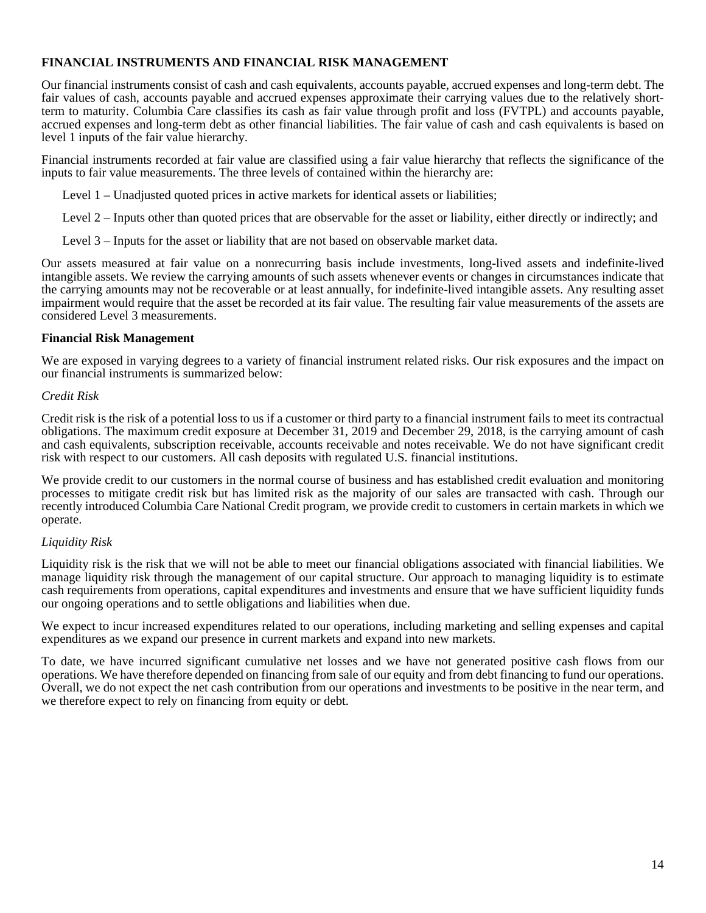## **FINANCIAL INSTRUMENTS AND FINANCIAL RISK MANAGEMENT**

Our financial instruments consist of cash and cash equivalents, accounts payable, accrued expenses and long-term debt. The fair values of cash, accounts payable and accrued expenses approximate their carrying values due to the relatively shortterm to maturity. Columbia Care classifies its cash as fair value through profit and loss (FVTPL) and accounts payable, accrued expenses and long-term debt as other financial liabilities. The fair value of cash and cash equivalents is based on level 1 inputs of the fair value hierarchy.

Financial instruments recorded at fair value are classified using a fair value hierarchy that reflects the significance of the inputs to fair value measurements. The three levels of contained within the hierarchy are:

Level 1 – Unadjusted quoted prices in active markets for identical assets or liabilities;

Level 2 – Inputs other than quoted prices that are observable for the asset or liability, either directly or indirectly; and

Level 3 – Inputs for the asset or liability that are not based on observable market data.

Our assets measured at fair value on a nonrecurring basis include investments, long-lived assets and indefinite-lived intangible assets. We review the carrying amounts of such assets whenever events or changes in circumstances indicate that the carrying amounts may not be recoverable or at least annually, for indefinite-lived intangible assets. Any resulting asset impairment would require that the asset be recorded at its fair value. The resulting fair value measurements of the assets are considered Level 3 measurements.

#### **Financial Risk Management**

We are exposed in varying degrees to a variety of financial instrument related risks. Our risk exposures and the impact on our financial instruments is summarized below:

### *Credit Risk*

Credit risk is the risk of a potential loss to us if a customer or third party to a financial instrument fails to meet its contractual obligations. The maximum credit exposure at December 31, 2019 and December 29, 2018, is the carrying amount of cash and cash equivalents, subscription receivable, accounts receivable and notes receivable. We do not have significant credit risk with respect to our customers. All cash deposits with regulated U.S. financial institutions.

We provide credit to our customers in the normal course of business and has established credit evaluation and monitoring processes to mitigate credit risk but has limited risk as the majority of our sales are transacted with cash. Through our recently introduced Columbia Care National Credit program, we provide credit to customers in certain markets in which we operate.

### *Liquidity Risk*

Liquidity risk is the risk that we will not be able to meet our financial obligations associated with financial liabilities. We manage liquidity risk through the management of our capital structure. Our approach to managing liquidity is to estimate cash requirements from operations, capital expenditures and investments and ensure that we have sufficient liquidity funds our ongoing operations and to settle obligations and liabilities when due.

We expect to incur increased expenditures related to our operations, including marketing and selling expenses and capital expenditures as we expand our presence in current markets and expand into new markets.

To date, we have incurred significant cumulative net losses and we have not generated positive cash flows from our operations. We have therefore depended on financing from sale of our equity and from debt financing to fund our operations. Overall, we do not expect the net cash contribution from our operations and investments to be positive in the near term, and we therefore expect to rely on financing from equity or debt.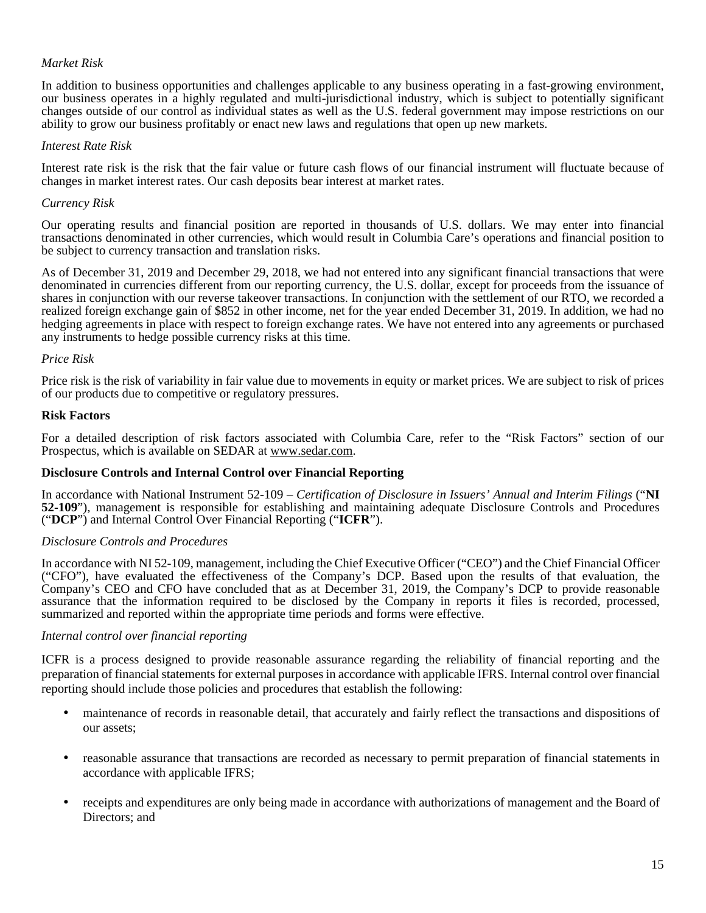## *Market Risk*

In addition to business opportunities and challenges applicable to any business operating in a fast-growing environment, our business operates in a highly regulated and multi-jurisdictional industry, which is subject to potentially significant changes outside of our control as individual states as well as the U.S. federal government may impose restrictions on our ability to grow our business profitably or enact new laws and regulations that open up new markets.

### *Interest Rate Risk*

Interest rate risk is the risk that the fair value or future cash flows of our financial instrument will fluctuate because of changes in market interest rates. Our cash deposits bear interest at market rates.

#### *Currency Risk*

Our operating results and financial position are reported in thousands of U.S. dollars. We may enter into financial transactions denominated in other currencies, which would result in Columbia Care's operations and financial position to be subject to currency transaction and translation risks.

As of December 31, 2019 and December 29, 2018, we had not entered into any significant financial transactions that were denominated in currencies different from our reporting currency, the U.S. dollar, except for proceeds from the issuance of shares in conjunction with our reverse takeover transactions. In conjunction with the settlement of our RTO, we recorded a realized foreign exchange gain of \$852 in other income, net for the year ended December 31, 2019. In addition, we had no hedging agreements in place with respect to foreign exchange rates. We have not entered into any agreements or purchased any instruments to hedge possible currency risks at this time.

#### *Price Risk*

Price risk is the risk of variability in fair value due to movements in equity or market prices. We are subject to risk of prices of our products due to competitive or regulatory pressures.

#### **Risk Factors**

For a detailed description of risk factors associated with Columbia Care, refer to the "Risk Factors" section of our Prospectus, which is available on SEDAR at www.sedar.com.

### **Disclosure Controls and Internal Control over Financial Reporting**

In accordance with National Instrument 52-109 – *Certification of Disclosure in Issuers' Annual and Interim Filings* ("**NI 52-109**"), management is responsible for establishing and maintaining adequate Disclosure Controls and Procedures ("**DCP**") and Internal Control Over Financial Reporting ("**ICFR**").

#### *Disclosure Controls and Procedures*

In accordance with NI 52-109, management, including the Chief Executive Officer ("CEO") and the Chief Financial Officer ("CFO"), have evaluated the effectiveness of the Company's DCP. Based upon the results of that evaluation, the Company's CEO and CFO have concluded that as at December 31, 2019, the Company's DCP to provide reasonable assurance that the information required to be disclosed by the Company in reports it files is recorded, processed, summarized and reported within the appropriate time periods and forms were effective.

#### *Internal control over financial reporting*

ICFR is a process designed to provide reasonable assurance regarding the reliability of financial reporting and the preparation of financial statements for external purposes in accordance with applicable IFRS. Internal control over financial reporting should include those policies and procedures that establish the following:

- maintenance of records in reasonable detail, that accurately and fairly reflect the transactions and dispositions of our assets;
- reasonable assurance that transactions are recorded as necessary to permit preparation of financial statements in accordance with applicable IFRS;
- receipts and expenditures are only being made in accordance with authorizations of management and the Board of Directors; and